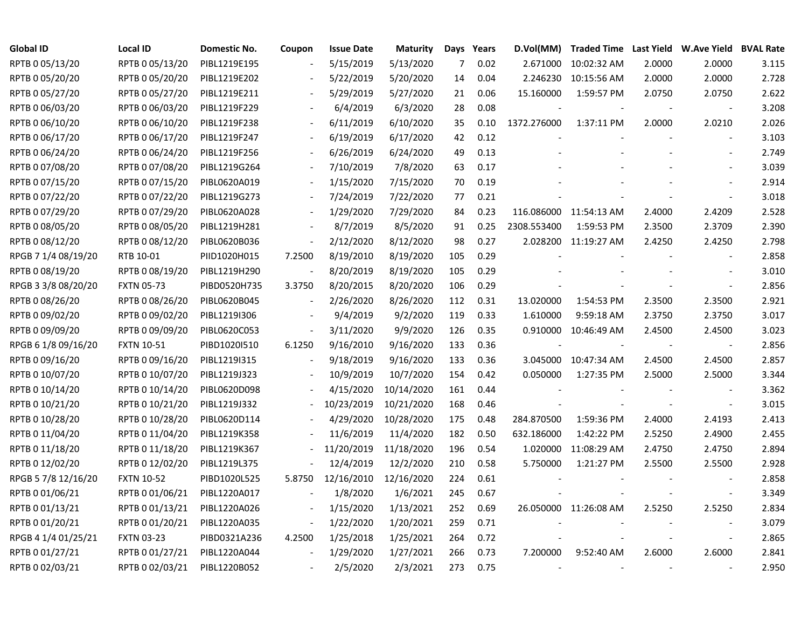| <b>Global ID</b>    | <b>Local ID</b>   | Domestic No. | Coupon                       | <b>Issue Date</b> | <b>Maturity</b> |     | Days Years | D.Vol(MM)                | Traded Time Last Yield W.Ave Yield BVAL Rate |        |                          |       |
|---------------------|-------------------|--------------|------------------------------|-------------------|-----------------|-----|------------|--------------------------|----------------------------------------------|--------|--------------------------|-------|
| RPTB 0 05/13/20     | RPTB 0 05/13/20   | PIBL1219E195 |                              | 5/15/2019         | 5/13/2020       | 7   | 0.02       | 2.671000                 | 10:02:32 AM                                  | 2.0000 | 2.0000                   | 3.115 |
| RPTB 0 05/20/20     | RPTB 0 05/20/20   | PIBL1219E202 |                              | 5/22/2019         | 5/20/2020       | 14  | 0.04       | 2.246230                 | 10:15:56 AM                                  | 2.0000 | 2.0000                   | 2.728 |
| RPTB 0 05/27/20     | RPTB 0 05/27/20   | PIBL1219E211 |                              | 5/29/2019         | 5/27/2020       | 21  | 0.06       | 15.160000                | 1:59:57 PM                                   | 2.0750 | 2.0750                   | 2.622 |
| RPTB 0 06/03/20     | RPTB 0 06/03/20   | PIBL1219F229 |                              | 6/4/2019          | 6/3/2020        | 28  | 0.08       |                          |                                              |        | $\overline{\phantom{a}}$ | 3.208 |
| RPTB 0 06/10/20     | RPTB 0 06/10/20   | PIBL1219F238 | $\overline{\phantom{a}}$     | 6/11/2019         | 6/10/2020       | 35  | 0.10       | 1372.276000              | 1:37:11 PM                                   | 2.0000 | 2.0210                   | 2.026 |
| RPTB 0 06/17/20     | RPTB 0 06/17/20   | PIBL1219F247 | $\overline{\phantom{a}}$     | 6/19/2019         | 6/17/2020       | 42  | 0.12       |                          |                                              |        | $\blacksquare$           | 3.103 |
| RPTB 0 06/24/20     | RPTB 0 06/24/20   | PIBL1219F256 | $\overline{\phantom{a}}$     | 6/26/2019         | 6/24/2020       | 49  | 0.13       |                          |                                              |        |                          | 2.749 |
| RPTB 0 07/08/20     | RPTB 0 07/08/20   | PIBL1219G264 |                              | 7/10/2019         | 7/8/2020        | 63  | 0.17       |                          |                                              |        |                          | 3.039 |
| RPTB 0 07/15/20     | RPTB 0 07/15/20   | PIBL0620A019 |                              | 1/15/2020         | 7/15/2020       | 70  | 0.19       |                          |                                              |        |                          | 2.914 |
| RPTB 0 07/22/20     | RPTB 0 07/22/20   | PIBL1219G273 |                              | 7/24/2019         | 7/22/2020       | 77  | 0.21       |                          |                                              |        |                          | 3.018 |
| RPTB 0 07/29/20     | RPTB 0 07/29/20   | PIBL0620A028 |                              | 1/29/2020         | 7/29/2020       | 84  | 0.23       |                          | 116.086000 11:54:13 AM                       | 2.4000 | 2.4209                   | 2.528 |
| RPTB 0 08/05/20     | RPTB 0 08/05/20   | PIBL1219H281 |                              | 8/7/2019          | 8/5/2020        | 91  | 0.25       | 2308.553400              | 1:59:53 PM                                   | 2.3500 | 2.3709                   | 2.390 |
| RPTB 0 08/12/20     | RPTB 0 08/12/20   | PIBL0620B036 | $\blacksquare$               | 2/12/2020         | 8/12/2020       | 98  | 0.27       |                          | 2.028200 11:19:27 AM                         | 2.4250 | 2.4250                   | 2.798 |
| RPGB 7 1/4 08/19/20 | RTB 10-01         | PIID1020H015 | 7.2500                       | 8/19/2010         | 8/19/2020       | 105 | 0.29       |                          |                                              |        |                          | 2.858 |
| RPTB 0 08/19/20     | RPTB 0 08/19/20   | PIBL1219H290 |                              | 8/20/2019         | 8/19/2020       | 105 | 0.29       |                          |                                              |        |                          | 3.010 |
| RPGB 3 3/8 08/20/20 | <b>FXTN 05-73</b> | PIBD0520H735 | 3.3750                       | 8/20/2015         | 8/20/2020       | 106 | 0.29       |                          |                                              |        |                          | 2.856 |
| RPTB 0 08/26/20     | RPTB 0 08/26/20   | PIBL0620B045 | $\qquad \qquad \blacksquare$ | 2/26/2020         | 8/26/2020       | 112 | 0.31       | 13.020000                | 1:54:53 PM                                   | 2.3500 | 2.3500                   | 2.921 |
| RPTB 0 09/02/20     | RPTB 0 09/02/20   | PIBL1219I306 | $\overline{\phantom{a}}$     | 9/4/2019          | 9/2/2020        | 119 | 0.33       | 1.610000                 | 9:59:18 AM                                   | 2.3750 | 2.3750                   | 3.017 |
| RPTB 0 09/09/20     | RPTB 0 09/09/20   | PIBL0620C053 | $\blacksquare$               | 3/11/2020         | 9/9/2020        | 126 | 0.35       | 0.910000                 | 10:46:49 AM                                  | 2.4500 | 2.4500                   | 3.023 |
| RPGB 6 1/8 09/16/20 | <b>FXTN 10-51</b> | PIBD1020I510 | 6.1250                       | 9/16/2010         | 9/16/2020       | 133 | 0.36       |                          |                                              |        |                          | 2.856 |
| RPTB 0 09/16/20     | RPTB 0 09/16/20   | PIBL1219I315 |                              | 9/18/2019         | 9/16/2020       | 133 | 0.36       | 3.045000                 | 10:47:34 AM                                  | 2.4500 | 2.4500                   | 2.857 |
| RPTB 0 10/07/20     | RPTB 0 10/07/20   | PIBL1219J323 |                              | 10/9/2019         | 10/7/2020       | 154 | 0.42       | 0.050000                 | 1:27:35 PM                                   | 2.5000 | 2.5000                   | 3.344 |
| RPTB 0 10/14/20     | RPTB 0 10/14/20   | PIBL0620D098 |                              | 4/15/2020         | 10/14/2020      | 161 | 0.44       |                          |                                              |        | $\blacksquare$           | 3.362 |
| RPTB 0 10/21/20     | RPTB 0 10/21/20   | PIBL1219J332 |                              | 10/23/2019        | 10/21/2020      | 168 | 0.46       |                          |                                              |        | $\sim$                   | 3.015 |
| RPTB 0 10/28/20     | RPTB 0 10/28/20   | PIBL0620D114 |                              | 4/29/2020         | 10/28/2020      | 175 | 0.48       | 284.870500               | 1:59:36 PM                                   | 2.4000 | 2.4193                   | 2.413 |
| RPTB 0 11/04/20     | RPTB 0 11/04/20   | PIBL1219K358 |                              | 11/6/2019         | 11/4/2020       | 182 | 0.50       | 632.186000               | 1:42:22 PM                                   | 2.5250 | 2.4900                   | 2.455 |
| RPTB 0 11/18/20     | RPTB 0 11/18/20   | PIBL1219K367 |                              | 11/20/2019        | 11/18/2020      | 196 | 0.54       |                          | 1.020000 11:08:29 AM                         | 2.4750 | 2.4750                   | 2.894 |
| RPTB 0 12/02/20     | RPTB 0 12/02/20   | PIBL1219L375 |                              | 12/4/2019         | 12/2/2020       | 210 | 0.58       | 5.750000                 | 1:21:27 PM                                   | 2.5500 | 2.5500                   | 2.928 |
| RPGB 5 7/8 12/16/20 | <b>FXTN 10-52</b> | PIBD1020L525 | 5.8750                       | 12/16/2010        | 12/16/2020      | 224 | 0.61       |                          |                                              |        |                          | 2.858 |
| RPTB 0 01/06/21     | RPTB 0 01/06/21   | PIBL1220A017 |                              | 1/8/2020          | 1/6/2021        | 245 | 0.67       |                          |                                              |        | $\overline{\phantom{a}}$ | 3.349 |
| RPTB 0 01/13/21     | RPTB 0 01/13/21   | PIBL1220A026 | $\overline{\phantom{a}}$     | 1/15/2020         | 1/13/2021       | 252 | 0.69       |                          | 26.050000 11:26:08 AM                        | 2.5250 | 2.5250                   | 2.834 |
| RPTB 0 01/20/21     | RPTB 0 01/20/21   | PIBL1220A035 | $\overline{\phantom{a}}$     | 1/22/2020         | 1/20/2021       | 259 | 0.71       |                          |                                              |        | $\sim$                   | 3.079 |
| RPGB 4 1/4 01/25/21 | <b>FXTN 03-23</b> | PIBD0321A236 | 4.2500                       | 1/25/2018         | 1/25/2021       | 264 | 0.72       |                          |                                              |        | $\overline{\phantom{a}}$ | 2.865 |
| RPTB 0 01/27/21     | RPTB 0 01/27/21   | PIBL1220A044 |                              | 1/29/2020         | 1/27/2021       | 266 | 0.73       | 7.200000                 | 9:52:40 AM                                   | 2.6000 | 2.6000                   | 2.841 |
| RPTB 0 02/03/21     | RPTB 0 02/03/21   | PIBL1220B052 |                              | 2/5/2020          | 2/3/2021        | 273 | 0.75       | $\overline{\phantom{a}}$ |                                              |        |                          | 2.950 |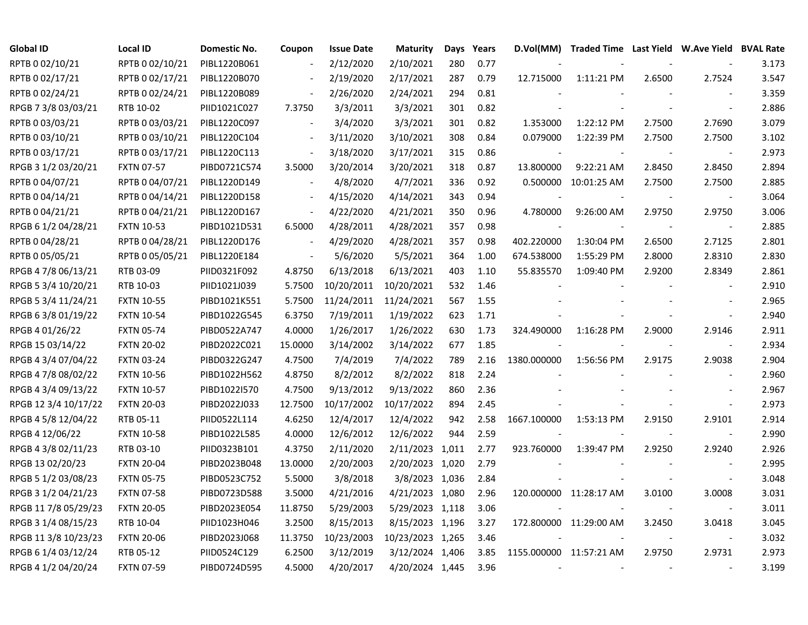| <b>Global ID</b>     | Local ID          | Domestic No. | Coupon                   | <b>Issue Date</b> | <b>Maturity</b>  | Days | Years | D.Vol(MM)      |                         |        | Traded Time Last Yield W.Ave Yield BVAL Rate |       |
|----------------------|-------------------|--------------|--------------------------|-------------------|------------------|------|-------|----------------|-------------------------|--------|----------------------------------------------|-------|
| RPTB 0 02/10/21      | RPTB 0 02/10/21   | PIBL1220B061 |                          | 2/12/2020         | 2/10/2021        | 280  | 0.77  |                |                         |        |                                              | 3.173 |
| RPTB 0 02/17/21      | RPTB 0 02/17/21   | PIBL1220B070 |                          | 2/19/2020         | 2/17/2021        | 287  | 0.79  | 12.715000      | 1:11:21 PM              | 2.6500 | 2.7524                                       | 3.547 |
| RPTB 0 02/24/21      | RPTB 0 02/24/21   | PIBL1220B089 | $\overline{\phantom{a}}$ | 2/26/2020         | 2/24/2021        | 294  | 0.81  |                |                         |        |                                              | 3.359 |
| RPGB 7 3/8 03/03/21  | RTB 10-02         | PIID1021C027 | 7.3750                   | 3/3/2011          | 3/3/2021         | 301  | 0.82  |                |                         |        | $\overline{\phantom{a}}$                     | 2.886 |
| RPTB 0 03/03/21      | RPTB 0 03/03/21   | PIBL1220C097 | $\overline{\phantom{a}}$ | 3/4/2020          | 3/3/2021         | 301  | 0.82  | 1.353000       | 1:22:12 PM              | 2.7500 | 2.7690                                       | 3.079 |
| RPTB 0 03/10/21      | RPTB 0 03/10/21   | PIBL1220C104 | $\overline{\phantom{a}}$ | 3/11/2020         | 3/10/2021        | 308  | 0.84  | 0.079000       | 1:22:39 PM              | 2.7500 | 2.7500                                       | 3.102 |
| RPTB 0 03/17/21      | RPTB 0 03/17/21   | PIBL1220C113 | $\overline{\phantom{a}}$ | 3/18/2020         | 3/17/2021        | 315  | 0.86  |                |                         |        |                                              | 2.973 |
| RPGB 3 1/2 03/20/21  | <b>FXTN 07-57</b> | PIBD0721C574 | 3.5000                   | 3/20/2014         | 3/20/2021        | 318  | 0.87  | 13.800000      | 9:22:21 AM              | 2.8450 | 2.8450                                       | 2.894 |
| RPTB 0 04/07/21      | RPTB 0 04/07/21   | PIBL1220D149 | $\blacksquare$           | 4/8/2020          | 4/7/2021         | 336  | 0.92  | 0.500000       | 10:01:25 AM             | 2.7500 | 2.7500                                       | 2.885 |
| RPTB 0 04/14/21      | RPTB 0 04/14/21   | PIBL1220D158 | $\overline{\phantom{a}}$ | 4/15/2020         | 4/14/2021        | 343  | 0.94  |                |                         |        | $\overline{\phantom{a}}$                     | 3.064 |
| RPTB 0 04/21/21      | RPTB 0 04/21/21   | PIBL1220D167 | $\blacksquare$           | 4/22/2020         | 4/21/2021        | 350  | 0.96  | 4.780000       | 9:26:00 AM              | 2.9750 | 2.9750                                       | 3.006 |
| RPGB 6 1/2 04/28/21  | <b>FXTN 10-53</b> | PIBD1021D531 | 6.5000                   | 4/28/2011         | 4/28/2021        | 357  | 0.98  |                |                         |        | $\overline{\phantom{a}}$                     | 2.885 |
| RPTB 0 04/28/21      | RPTB 0 04/28/21   | PIBL1220D176 | $\blacksquare$           | 4/29/2020         | 4/28/2021        | 357  | 0.98  | 402.220000     | 1:30:04 PM              | 2.6500 | 2.7125                                       | 2.801 |
| RPTB 0 05/05/21      | RPTB 0 05/05/21   | PIBL1220E184 | $\overline{\phantom{a}}$ | 5/6/2020          | 5/5/2021         | 364  | 1.00  | 674.538000     | 1:55:29 PM              | 2.8000 | 2.8310                                       | 2.830 |
| RPGB 4 7/8 06/13/21  | RTB 03-09         | PIID0321F092 | 4.8750                   | 6/13/2018         | 6/13/2021        | 403  | 1.10  | 55.835570      | 1:09:40 PM              | 2.9200 | 2.8349                                       | 2.861 |
| RPGB 5 3/4 10/20/21  | RTB 10-03         | PIID1021J039 | 5.7500                   | 10/20/2011        | 10/20/2021       | 532  | 1.46  |                |                         |        |                                              | 2.910 |
| RPGB 5 3/4 11/24/21  | <b>FXTN 10-55</b> | PIBD1021K551 | 5.7500                   | 11/24/2011        | 11/24/2021       | 567  | 1.55  |                |                         |        |                                              | 2.965 |
| RPGB 6 3/8 01/19/22  | <b>FXTN 10-54</b> | PIBD1022G545 | 6.3750                   | 7/19/2011         | 1/19/2022        | 623  | 1.71  |                |                         |        | $\sim$                                       | 2.940 |
| RPGB 4 01/26/22      | <b>FXTN 05-74</b> | PIBD0522A747 | 4.0000                   | 1/26/2017         | 1/26/2022        | 630  | 1.73  | 324.490000     | 1:16:28 PM              | 2.9000 | 2.9146                                       | 2.911 |
| RPGB 15 03/14/22     | <b>FXTN 20-02</b> | PIBD2022C021 | 15.0000                  | 3/14/2002         | 3/14/2022        | 677  | 1.85  |                |                         |        | $\overline{\phantom{a}}$                     | 2.934 |
| RPGB 4 3/4 07/04/22  | <b>FXTN 03-24</b> | PIBD0322G247 | 4.7500                   | 7/4/2019          | 7/4/2022         | 789  | 2.16  | 1380.000000    | 1:56:56 PM              | 2.9175 | 2.9038                                       | 2.904 |
| RPGB 4 7/8 08/02/22  | <b>FXTN 10-56</b> | PIBD1022H562 | 4.8750                   | 8/2/2012          | 8/2/2022         | 818  | 2.24  |                |                         |        | $\overline{\phantom{a}}$                     | 2.960 |
| RPGB 4 3/4 09/13/22  | <b>FXTN 10-57</b> | PIBD1022I570 | 4.7500                   | 9/13/2012         | 9/13/2022        | 860  | 2.36  |                |                         |        | $\overline{\phantom{a}}$                     | 2.967 |
| RPGB 12 3/4 10/17/22 | <b>FXTN 20-03</b> | PIBD2022J033 | 12.7500                  | 10/17/2002        | 10/17/2022       | 894  | 2.45  |                |                         |        | $\blacksquare$                               | 2.973 |
| RPGB 4 5/8 12/04/22  | RTB 05-11         | PIID0522L114 | 4.6250                   | 12/4/2017         | 12/4/2022        | 942  | 2.58  | 1667.100000    | 1:53:13 PM              | 2.9150 | 2.9101                                       | 2.914 |
| RPGB 4 12/06/22      | <b>FXTN 10-58</b> | PIBD1022L585 | 4.0000                   | 12/6/2012         | 12/6/2022        | 944  | 2.59  |                |                         |        | $\overline{\phantom{a}}$                     | 2.990 |
| RPGB 4 3/8 02/11/23  | RTB 03-10         | PIID0323B101 | 4.3750                   | 2/11/2020         | 2/11/2023 1,011  |      | 2.77  | 923.760000     | 1:39:47 PM              | 2.9250 | 2.9240                                       | 2.926 |
| RPGB 13 02/20/23     | <b>FXTN 20-04</b> | PIBD2023B048 | 13.0000                  | 2/20/2003         | 2/20/2023 1,020  |      | 2.79  |                |                         |        |                                              | 2.995 |
| RPGB 5 1/2 03/08/23  | <b>FXTN 05-75</b> | PIBD0523C752 | 5.5000                   | 3/8/2018          | 3/8/2023 1,036   |      | 2.84  |                |                         |        | $\sim$                                       | 3.048 |
| RPGB 3 1/2 04/21/23  | <b>FXTN 07-58</b> | PIBD0723D588 | 3.5000                   | 4/21/2016         | 4/21/2023 1,080  |      | 2.96  |                | 120.000000 11:28:17 AM  | 3.0100 | 3.0008                                       | 3.031 |
| RPGB 11 7/8 05/29/23 | <b>FXTN 20-05</b> | PIBD2023E054 | 11.8750                  | 5/29/2003         | 5/29/2023 1,118  |      | 3.06  |                |                         |        | $\blacksquare$                               | 3.011 |
| RPGB 3 1/4 08/15/23  | RTB 10-04         | PIID1023H046 | 3.2500                   | 8/15/2013         | 8/15/2023 1,196  |      | 3.27  |                | 172.800000 11:29:00 AM  | 3.2450 | 3.0418                                       | 3.045 |
| RPGB 11 3/8 10/23/23 | <b>FXTN 20-06</b> | PIBD2023J068 | 11.3750                  | 10/23/2003        | 10/23/2023 1,265 |      | 3.46  |                |                         |        | $\sim$                                       | 3.032 |
| RPGB 6 1/4 03/12/24  | RTB 05-12         | PIID0524C129 | 6.2500                   | 3/12/2019         | 3/12/2024 1,406  |      | 3.85  |                | 1155.000000 11:57:21 AM | 2.9750 | 2.9731                                       | 2.973 |
| RPGB 4 1/2 04/20/24  | <b>FXTN 07-59</b> | PIBD0724D595 | 4.5000                   | 4/20/2017         | 4/20/2024 1,445  |      | 3.96  | $\blacksquare$ |                         |        |                                              | 3.199 |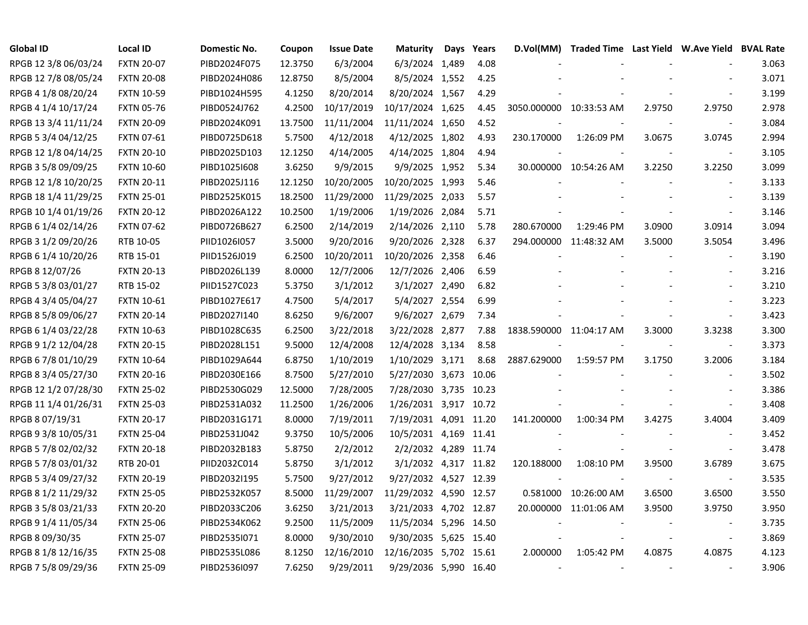| <b>Global ID</b>     | <b>Local ID</b>   | Domestic No. | Coupon  | <b>Issue Date</b> | <b>Maturity</b>        | Days | Years | D.Vol(MM)                | Traded Time Last Yield W.Ave Yield BVAL Rate |                          |                          |       |
|----------------------|-------------------|--------------|---------|-------------------|------------------------|------|-------|--------------------------|----------------------------------------------|--------------------------|--------------------------|-------|
| RPGB 12 3/8 06/03/24 | <b>FXTN 20-07</b> | PIBD2024F075 | 12.3750 | 6/3/2004          | 6/3/2024 1,489         |      | 4.08  |                          |                                              |                          |                          | 3.063 |
| RPGB 12 7/8 08/05/24 | <b>FXTN 20-08</b> | PIBD2024H086 | 12.8750 | 8/5/2004          | 8/5/2024 1,552         |      | 4.25  |                          |                                              |                          |                          | 3.071 |
| RPGB 4 1/8 08/20/24  | <b>FXTN 10-59</b> | PIBD1024H595 | 4.1250  | 8/20/2014         | 8/20/2024 1,567        |      | 4.29  |                          |                                              |                          |                          | 3.199 |
| RPGB 4 1/4 10/17/24  | <b>FXTN 05-76</b> | PIBD0524J762 | 4.2500  | 10/17/2019        | 10/17/2024 1,625       |      | 4.45  | 3050.000000 10:33:53 AM  |                                              | 2.9750                   | 2.9750                   | 2.978 |
| RPGB 13 3/4 11/11/24 | <b>FXTN 20-09</b> | PIBD2024K091 | 13.7500 | 11/11/2004        | 11/11/2024 1,650       |      | 4.52  |                          |                                              |                          | $\overline{\phantom{a}}$ | 3.084 |
| RPGB 5 3/4 04/12/25  | FXTN 07-61        | PIBD0725D618 | 5.7500  | 4/12/2018         | 4/12/2025 1,802        |      | 4.93  | 230.170000               | 1:26:09 PM                                   | 3.0675                   | 3.0745                   | 2.994 |
| RPGB 12 1/8 04/14/25 | <b>FXTN 20-10</b> | PIBD2025D103 | 12.1250 | 4/14/2005         | 4/14/2025 1,804        |      | 4.94  |                          |                                              |                          | $\blacksquare$           | 3.105 |
| RPGB 3 5/8 09/09/25  | <b>FXTN 10-60</b> | PIBD1025I608 | 3.6250  | 9/9/2015          | 9/9/2025 1,952         |      | 5.34  |                          | 30.000000 10:54:26 AM                        | 3.2250                   | 3.2250                   | 3.099 |
| RPGB 12 1/8 10/20/25 | <b>FXTN 20-11</b> | PIBD2025J116 | 12.1250 | 10/20/2005        | 10/20/2025 1,993       |      | 5.46  |                          |                                              |                          | $\overline{\phantom{a}}$ | 3.133 |
| RPGB 18 1/4 11/29/25 | <b>FXTN 25-01</b> | PIBD2525K015 | 18.2500 | 11/29/2000        | 11/29/2025 2,033       |      | 5.57  |                          |                                              |                          | $\sim$                   | 3.139 |
| RPGB 10 1/4 01/19/26 | <b>FXTN 20-12</b> | PIBD2026A122 | 10.2500 | 1/19/2006         | 1/19/2026 2,084        |      | 5.71  |                          |                                              |                          | $\overline{\phantom{a}}$ | 3.146 |
| RPGB 6 1/4 02/14/26  | <b>FXTN 07-62</b> | PIBD0726B627 | 6.2500  | 2/14/2019         | 2/14/2026 2,110        |      | 5.78  | 280.670000               | 1:29:46 PM                                   | 3.0900                   | 3.0914                   | 3.094 |
| RPGB 3 1/2 09/20/26  | RTB 10-05         | PIID1026I057 | 3.5000  | 9/20/2016         | 9/20/2026 2,328        |      | 6.37  |                          | 294.000000 11:48:32 AM                       | 3.5000                   | 3.5054                   | 3.496 |
| RPGB 6 1/4 10/20/26  | RTB 15-01         | PIID1526J019 | 6.2500  | 10/20/2011        | 10/20/2026 2,358       |      | 6.46  |                          |                                              |                          | $\blacksquare$           | 3.190 |
| RPGB 8 12/07/26      | <b>FXTN 20-13</b> | PIBD2026L139 | 8.0000  | 12/7/2006         | 12/7/2026 2,406        |      | 6.59  |                          |                                              |                          |                          | 3.216 |
| RPGB 5 3/8 03/01/27  | RTB 15-02         | PIID1527C023 | 5.3750  | 3/1/2012          | 3/1/2027 2,490         |      | 6.82  |                          |                                              |                          |                          | 3.210 |
| RPGB 4 3/4 05/04/27  | <b>FXTN 10-61</b> | PIBD1027E617 | 4.7500  | 5/4/2017          | 5/4/2027 2,554         |      | 6.99  |                          |                                              |                          |                          | 3.223 |
| RPGB 8 5/8 09/06/27  | <b>FXTN 20-14</b> | PIBD2027I140 | 8.6250  | 9/6/2007          | 9/6/2027 2,679         |      | 7.34  |                          |                                              |                          | $\overline{\phantom{a}}$ | 3.423 |
| RPGB 6 1/4 03/22/28  | <b>FXTN 10-63</b> | PIBD1028C635 | 6.2500  | 3/22/2018         | 3/22/2028 2,877        |      | 7.88  | 1838.590000 11:04:17 AM  |                                              | 3.3000                   | 3.3238                   | 3.300 |
| RPGB 9 1/2 12/04/28  | <b>FXTN 20-15</b> | PIBD2028L151 | 9.5000  | 12/4/2008         | 12/4/2028 3,134        |      | 8.58  |                          |                                              |                          | $\blacksquare$           | 3.373 |
| RPGB 6 7/8 01/10/29  | <b>FXTN 10-64</b> | PIBD1029A644 | 6.8750  | 1/10/2019         | 1/10/2029 3,171        |      | 8.68  | 2887.629000              | 1:59:57 PM                                   | 3.1750                   | 3.2006                   | 3.184 |
| RPGB 8 3/4 05/27/30  | <b>FXTN 20-16</b> | PIBD2030E166 | 8.7500  | 5/27/2010         | 5/27/2030 3,673 10.06  |      |       |                          |                                              |                          | $\overline{\phantom{a}}$ | 3.502 |
| RPGB 12 1/2 07/28/30 | <b>FXTN 25-02</b> | PIBD2530G029 | 12.5000 | 7/28/2005         | 7/28/2030 3,735 10.23  |      |       |                          |                                              |                          | $\overline{\phantom{a}}$ | 3.386 |
| RPGB 11 1/4 01/26/31 | <b>FXTN 25-03</b> | PIBD2531A032 | 11.2500 | 1/26/2006         | 1/26/2031 3,917 10.72  |      |       |                          |                                              |                          | $\blacksquare$           | 3.408 |
| RPGB 8 07/19/31      | <b>FXTN 20-17</b> | PIBD2031G171 | 8.0000  | 7/19/2011         | 7/19/2031 4,091 11.20  |      |       | 141.200000               | 1:00:34 PM                                   | 3.4275                   | 3.4004                   | 3.409 |
| RPGB 9 3/8 10/05/31  | <b>FXTN 25-04</b> | PIBD2531J042 | 9.3750  | 10/5/2006         | 10/5/2031 4,169 11.41  |      |       |                          |                                              |                          | $\overline{\phantom{a}}$ | 3.452 |
| RPGB 5 7/8 02/02/32  | <b>FXTN 20-18</b> | PIBD2032B183 | 5.8750  | 2/2/2012          | 2/2/2032 4,289 11.74   |      |       |                          |                                              |                          | $\overline{\phantom{a}}$ | 3.478 |
| RPGB 5 7/8 03/01/32  | RTB 20-01         | PIID2032C014 | 5.8750  | 3/1/2012          | 3/1/2032 4,317 11.82   |      |       | 120.188000               | 1:08:10 PM                                   | 3.9500                   | 3.6789                   | 3.675 |
| RPGB 5 3/4 09/27/32  | <b>FXTN 20-19</b> | PIBD2032I195 | 5.7500  | 9/27/2012         | 9/27/2032 4,527 12.39  |      |       |                          |                                              |                          | $\overline{\phantom{a}}$ | 3.535 |
| RPGB 8 1/2 11/29/32  | <b>FXTN 25-05</b> | PIBD2532K057 | 8.5000  | 11/29/2007        | 11/29/2032 4,590 12.57 |      |       |                          | 0.581000 10:26:00 AM                         | 3.6500                   | 3.6500                   | 3.550 |
| RPGB 3 5/8 03/21/33  | <b>FXTN 20-20</b> | PIBD2033C206 | 3.6250  | 3/21/2013         | 3/21/2033 4,702 12.87  |      |       |                          | 20.000000 11:01:06 AM                        | 3.9500                   | 3.9750                   | 3.950 |
| RPGB 9 1/4 11/05/34  | <b>FXTN 25-06</b> | PIBD2534K062 | 9.2500  | 11/5/2009         | 11/5/2034 5,296 14.50  |      |       |                          |                                              |                          | $\blacksquare$           | 3.735 |
| RPGB 8 09/30/35      | <b>FXTN 25-07</b> | PIBD2535I071 | 8.0000  | 9/30/2010         | 9/30/2035 5,625 15.40  |      |       |                          |                                              |                          | $\blacksquare$           | 3.869 |
| RPGB 8 1/8 12/16/35  | <b>FXTN 25-08</b> | PIBD2535L086 | 8.1250  | 12/16/2010        | 12/16/2035 5,702 15.61 |      |       | 2.000000                 | 1:05:42 PM                                   | 4.0875                   | 4.0875                   | 4.123 |
| RPGB 7 5/8 09/29/36  | <b>FXTN 25-09</b> | PIBD2536I097 | 7.6250  | 9/29/2011         | 9/29/2036 5,990 16.40  |      |       | $\overline{\phantom{a}}$ |                                              | $\overline{\phantom{a}}$ | $\blacksquare$           | 3.906 |